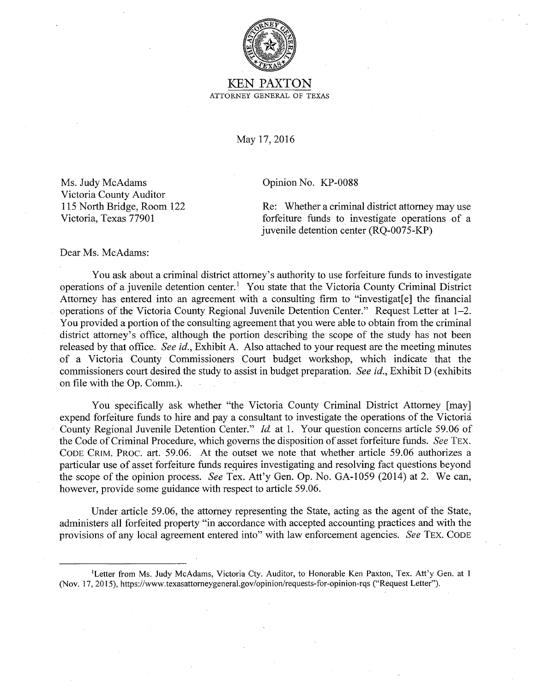

## KEN PAXTON ATTORNEY GENERAL OF TEXAS

May 17, 2016

Ms. Judy McAdams Victoria County Auditor 115 North Bridge, Room 122 Victoria, Texas 77901

Opinion No. KP-0088

Re: Whether a criminal district attorney may use forfeiture funds to investigate operations of a juvenile detention center (RQ-0075-KP)

Dear Ms. McAdams:

You ask about a criminal district attorney's authority to use forfeiture funds to investigate operations of a juvenile detention center.<sup>1</sup> You state that the Victoria County Criminal District Attorney has entered into an agreement with a consulting firm to "investigat[e] the financial operations of the Victoria County Regional Juvenile Detention Center." Request Letter at 1-2. You provided a portion of the consulting agreement that you were able to obtain from the criminal district attorney's office, although the portion describing the scope of the study has not been released by that office. *See id.,* Exhibit A. Also attached to your request are the meeting minutes of a Victoria County Commissioners Court budget workshop, which indicate that the commissioners court desired the study to assist in budget preparation. *See id.,* Exhibit D (exhibits on file with the Op. Comm.).

You specifically ask whether "the Victoria County Criminal District Attorney [may] expend forfeiture funds to hire and pay a consultant to investigate the operations of the Victoria County Regional Juvenile Detention Center." *Id* at 1. Your question concerns article 59.06 of the Code of Criminal Procedure, which governs the disposition of asset forfeiture funds. *See* TEX. CODE CRIM. PROC. art. 59.06. At the outset we note that whether article 59.06 authorizes a particular use of asset forfeiture funds requires investigating and resolving fact questions beyond the scope of the opinion process. *See* Tex. Att'y Gen. Op. No. GA-1059 (2014) at 2. We can, however, provide some guidance with respect to article 59.06.

Under article 59.06, the attorney representing the State, acting as the agent of the State, administers all forfeited property "in accordance with accepted accounting practices and with the provisions of any local agreement entered into" with law enforcement agencies. *See* TEX. CODE

<sup>1</sup> Letter from Ms. Judy McAdams, Victoria Cty. Auditor, to Honorable Ken Paxton, Tex. Att'y Gen. at I (Nov. 17, 2015), https://www.texasattomeygeneral.gov/opinion/requests-for-opinion-rqs ("Request Letter").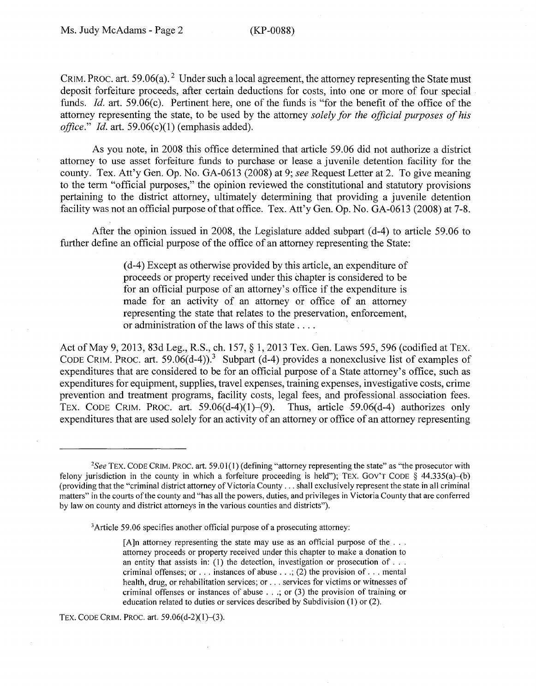CRIM. PROC. art. 59.06(a). <sup>2</sup> Under such a local agreement, the attorney representing the State must deposit forfeiture proceeds, after certain deductions for costs, into one or more of four special funds. *Id.* art. 59.06(c). Pertinent here, one of the funds is "for the benefit of the office of the attorney representing the state, to be used by the attorney *solely for the official purposes of his office.*" *Id.* art. 59.06(c)(1) (emphasis added).

As you note, in 2008 this office determined that article 59.06 did not authorize a district attorney to use asset forfeiture funds to purchase or lease a juvenile detention facility for the county. Tex. Att'y Gen. Op. No. GA-0613 (2008) at 9; *see* Request Letter at 2. To give meaning to the term "official purposes," the opinion reviewed the constitutional and statutory provisions pertaining to the district attorney, ultimately determining that providing a juvenile detention facility was not an official purpose of that office. Tex. Att'y Gen. Op. No. GA-0613 (2008) at 7-8.

After the opinion issued in 2008, the Legislature added subpart (d-4) to article 59.06 to further define an official purpose of the office of an attorney representing the State:

> ( d-4) Except as otherwise provided by this article, an expenditure of proceeds or property received under this chapter is considered to be for an official purpose of an attorney's office if the expenditure is made for an activity of an attorney or office of an attorney representing the state that relates to the preservation, enforcement, or administration of the laws of this state ....

Act of May 9, 2013, 83d Leg., R.S., ch. 157, § 1, 2013 Tex. Gen. Laws 595, 596 (codified at TEX. CODE CRIM. PROC. art. 59.06(d-4)).<sup>3</sup> Subpart (d-4) provides a nonexclusive list of examples of expenditures that are considered to be for an official purpose of a State attorney's office, such as expenditures for equipment, supplies, travel expenses, training expenses, investigative costs, crime prevention and treatment programs, facility costs, legal fees, and professional. association fees. TEX. CODE CRIM. PROC. art.  $59.06(d-4)(1)-(9)$ . Thus, article  $59.06(d-4)$  authorizes only expenditures that are used solely for an activity of an attorney or office of an attorney representing

TEX. CODE CRIM. PROC. art. 59.06(d-2)(1)-(3).

*<sup>2</sup> See* TEX. CODE CRIM. PROC. art. 59.01(1) (defining "attorney representing the state" as "the prosecutor with felony jurisdiction in the county in which a forfeiture proceeding is held"); TEX. GOV'T CODE  $\S$  44.335(a)-(b) (providing that the "criminal district attorney of Victoria County ... shall exclusively represent the state in all criminal matters" in the courts of the county and "has all the powers, duties, and privileges in Victoria County that are conferred by law on county and district attorneys in the various counties and districts").

<sup>&</sup>lt;sup>3</sup> Article 59.06 specifies another official purpose of a prosecuting attorney:

<sup>[</sup>A]n attorney representing the state may use as an official purpose of the  $\dots$ attorney proceeds or property received under this chapter to make a donation to an entity that assists in: (1) the detection, investigation or prosecution of ... criminal offenses; or ... instances of abuse ...; (2) the provision of ... mental health, drug, or rehabilitation services; or ... services for victims or witnesses of criminal offenses or instances of abuse ... ; or (3) the provision of training or education related to duties or services described by Subdivision (I) or (2).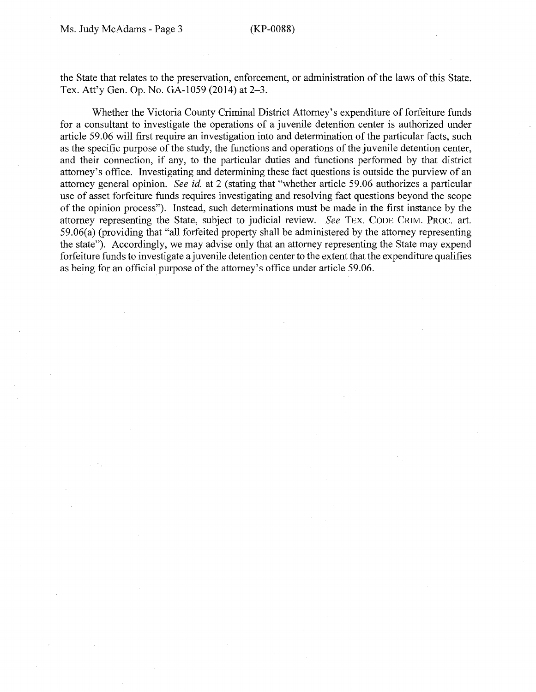the State that relates to the preservation, enforcement, or administration of the laws of this State. Tex. Att'y Gen. Op. No. GA-1059 (2014) at 2-3.

Whether the Victoria County Criminal District Attorney's expenditure of forfeiture funds for a consultant to investigate the operations of a juvenile detention center is authorized under article 59.06 will first require an investigation into and determination of the particular facts, such as the specific purpose of the study, the functions and operations of the juvenile detention center, and their connection, if any, to the particular duties and functions performed by that district attorney's office. Investigating and determining these fact questions is outside the purview of an attorney general opinion. *See id.* at 2 (stating that "whether article 59.06 authorizes a particular use of asset forfeiture funds requires investigating and resolving fact questions beyond the scope of the opinion process"). Instead, such determinations must be made in the first instance by the attorney representing the State, subject to judicial review. *See* TEX. CODE CRIM. PROC. art. 59.06(a) (providing that "all forfeited property shall be administered by the attorney representing the state"). Accordingly, we may advise only that an attorney representing the State may expend forfeiture funds to investigate a juvenile detention center to the extent that the expenditure qualifies as being for an official purpose of the attorney's office under article 59.06.